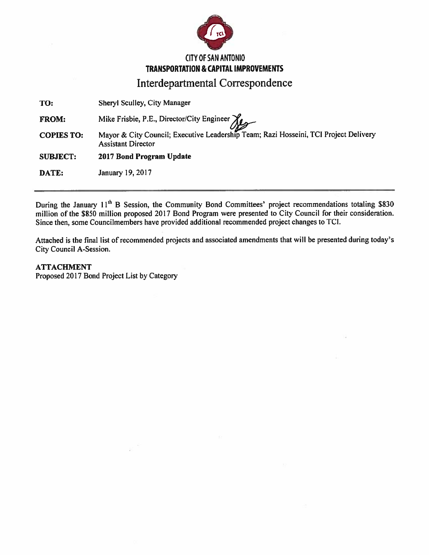

# **CITY OF SAN ANTONIO TRANSPORTATION & CAPITAL IMPROVEMENTS**

**Interdepartmental Correspondence** 

Sheryl Sculley, City Manager TO:

Mike Frisbie, P.E., Director/City Engineer **FROM:** 

Mayor & City Council; Executive Leadership Team; Razi Hosseini, TCI Project Delivery **COPIES TO: Assistant Director** 

2017 Bond Program Update **SUBJECT:** 

DATE: January 19, 2017

During the January 11<sup>th</sup> B Session, the Community Bond Committees' project recommendations totaling \$830 million of the \$850 million proposed 2017 Bond Program were presented to City Council for their consideration. Since then, some Councilmembers have provided additional recommended project changes to TCI.

Attached is the final list of recommended projects and associated amendments that will be presented during today's City Council A-Session.

## **ATTACHMENT**

Proposed 2017 Bond Project List by Category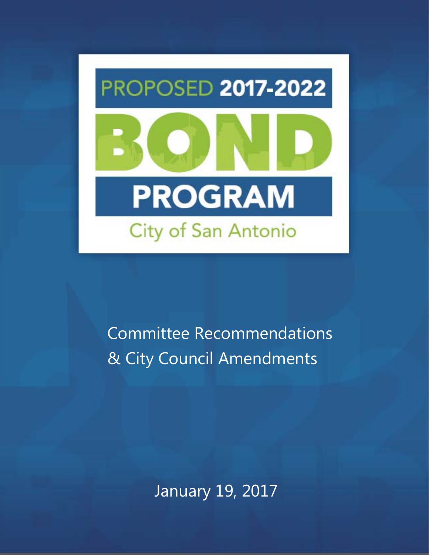

**Committee Recommendations** & City Council Amendments

**January 19, 2017**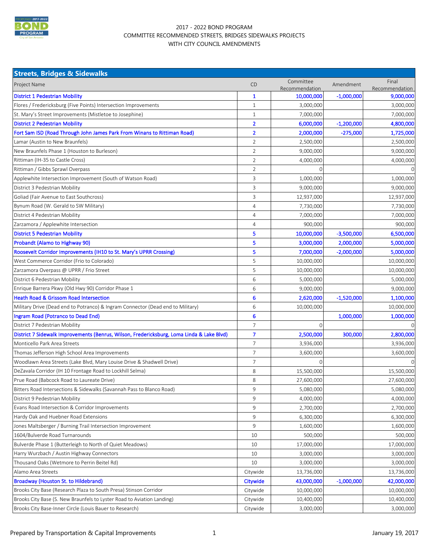

#### 2017 - 2022 BOND PROGRAM COMMITTEE RECOMMENDED STREETS, BRIDGES SIDEWALKS PROJECTS WITH CITY COUNCIL AMENDMENTS

| <b>Streets, Bridges &amp; Sidewalks</b>                                                   |                |                             |              |                         |  |  |
|-------------------------------------------------------------------------------------------|----------------|-----------------------------|--------------|-------------------------|--|--|
| Project Name                                                                              | <b>CD</b>      | Committee<br>Recommendation | Amendment    | Final<br>Recommendation |  |  |
| <b>District 1 Pedestrian Mobility</b>                                                     | $\mathbf{1}$   | 10,000,000                  | $-1,000,000$ | 9,000,000               |  |  |
| Flores / Fredericksburg (Five Points) Intersection Improvements                           | $\mathbf{1}$   | 3,000,000                   |              | 3,000,000               |  |  |
| St. Mary's Street Improvements (Mistletoe to Josephine)                                   | $\mathbf{1}$   | 7,000,000                   |              | 7,000,000               |  |  |
| <b>District 2 Pedestrian Mobility</b>                                                     | $\overline{2}$ | 6,000,000                   | $-1,200,000$ | 4,800,000               |  |  |
| Fort Sam ISD (Road Through John James Park From Winans to Rittiman Road)                  | $\overline{2}$ | 2,000,000                   | $-275,000$   | 1,725,000               |  |  |
| Lamar (Austin to New Braunfels)                                                           | $\overline{2}$ | 2,500,000                   |              | 2,500,000               |  |  |
| New Braunfels Phase 1 (Houston to Burleson)                                               | 2              | 9,000,000                   |              | 9,000,000               |  |  |
| Rittiman (IH-35 to Castle Cross)                                                          | $\overline{2}$ | 4,000,000                   |              | 4,000,000               |  |  |
| Rittiman / Gibbs Sprawl Overpass                                                          | $\overline{2}$ | 0                           |              |                         |  |  |
| Applewhite Intersection Improvement (South of Watson Road)                                | 3              | 1,000,000                   |              | 1,000,000               |  |  |
| District 3 Pedestrian Mobility                                                            | 3              | 9,000,000                   |              | 9,000,000               |  |  |
| Goliad (Fair Avenue to East Southcross)                                                   | 3              | 12,937,000                  |              | 12,937,000              |  |  |
| Bynum Road (W. Gerald to SW Military)                                                     | $\overline{4}$ | 7,730,000                   |              | 7,730,000               |  |  |
| District 4 Pedestrian Mobility                                                            | $\overline{4}$ | 7,000,000                   |              | 7,000,000               |  |  |
| Zarzamora / Applewhite Intersection                                                       | 4              | 900,000                     |              | 900,000                 |  |  |
| <b>District 5 Pedestrian Mobility</b>                                                     | 5              | 10,000,000                  | $-3,500,000$ | 6,500,000               |  |  |
| Probandt (Alamo to Highway 90)                                                            | 5              | 3,000,000                   | 2,000,000    | 5,000,000               |  |  |
| Roosevelt Corridor Improvements (IH10 to St. Mary's UPRR Crossing)                        | 5              | 7,000,000                   | $-2,000,000$ | 5,000,000               |  |  |
| West Commerce Corridor (Frio to Colorado)                                                 | 5              | 10,000,000                  |              | 10,000,000              |  |  |
| Zarzamora Overpass @ UPRR / Frio Street                                                   | 5              | 10,000,000                  |              | 10,000,000              |  |  |
| District 6 Pedestrian Mobility                                                            | 6              | 5,000,000                   |              | 5,000,000               |  |  |
| Enrique Barrera Pkwy (Old Hwy 90) Corridor Phase 1                                        | 6              | 9,000,000                   |              | 9,000,000               |  |  |
| <b>Heath Road &amp; Grissom Road Intersection</b>                                         | 6              | 2,620,000                   | $-1,520,000$ | 1,100,000               |  |  |
| Military Drive (Dead end to Potranco) & Ingram Connector (Dead end to Military)           | 6              | 10,000,000                  |              | 10,000,000              |  |  |
| Ingram Road (Potranco to Dead End)                                                        | 6              |                             | 1,000,000    | 1,000,000               |  |  |
| District 7 Pedestrian Mobility                                                            | 7              | 0                           |              |                         |  |  |
| District 7 Sidewalk Improvements (Benrus, Wilson, Fredericksburg, Loma Linda & Lake Blvd) | $\overline{7}$ | 2,500,000                   | 300,000      | 2,800,000               |  |  |
| Monticello Park Area Streets                                                              | 7              | 3,936,000                   |              | 3,936,000               |  |  |
| Thomas Jefferson High School Area Improvements                                            | $\overline{7}$ | 3,600,000                   |              | 3,600,000               |  |  |
| Woodlawn Area Streets (Lake Blvd, Mary Louise Drive & Shadwell Drive)                     | 7              | 0                           |              |                         |  |  |
| DeZavala Corridor (IH 10 Frontage Road to Lockhill Selma)                                 | 8              | 15,500,000                  |              | 15,500,000              |  |  |
| Prue Road (Babcock Road to Laureate Drive)                                                | 8              | 27,600,000                  |              | 27,600,000              |  |  |
| Bitters Road Intersections & Sidewalks (Savannah Pass to Blanco Road)                     | $\overline{9}$ | 5,080,000                   |              | 5,080,000               |  |  |
| District 9 Pedestrian Mobility                                                            | 9              | 4,000,000                   |              | 4,000,000               |  |  |
| Evans Road Intersection & Corridor Improvements                                           | 9              | 2,700,000                   |              | 2,700,000               |  |  |
| Hardy Oak and Huebner Road Extensions                                                     | 9              | 6,300,000                   |              | 6,300,000               |  |  |
| Jones Maltsberger / Burning Trail Intersection Improvement                                | 9              | 1,600,000                   |              | 1,600,000               |  |  |
| 1604/Bulverde Road Turnarounds                                                            | 10             | 500,000                     |              | 500,000                 |  |  |
| Bulverde Phase 1 (Butterleigh to North of Quiet Meadows)                                  | 10             | 17,000,000                  |              | 17,000,000              |  |  |
| Harry Wurzbach / Austin Highway Connectors                                                | 10             | 3,000,000                   |              | 3,000,000               |  |  |
| Thousand Oaks (Wetmore to Perrin Beitel Rd)                                               | 10             | 3,000,000                   |              | 3,000,000               |  |  |
| Alamo Area Streets                                                                        | Citywide       | 13,736,000                  |              | 13,736,000              |  |  |
| <b>Broadway (Houston St. to Hildebrand)</b>                                               | Citywide       | 43,000,000                  | $-1,000,000$ | 42,000,000              |  |  |
| Brooks City Base (Research Plaza to South Presa) Stinson Corridor                         | Citywide       | 10,000,000                  |              | 10,000,000              |  |  |
| Brooks City Base (S. New Braunfels to Lyster Road to Aviation Landing)                    | Citywide       | 10,400,000                  |              | 10,400,000              |  |  |
| Brooks City Base-Inner Circle (Louis Bauer to Research)                                   | Citywide       | 3,000,000                   |              | 3,000,000               |  |  |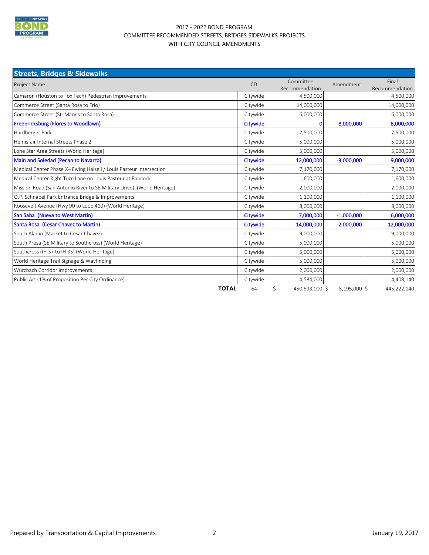

#### 2017 - 2022 BOND PROGRAM COMMITTEE RECOMMENDED STREETS, BRIDGES SIDEWALKS PROJECTS WITH CITY COUNCIL AMENDMENTS

| <b>Streets, Bridges &amp; Sidewalks</b>                                |                                          |                      |                 |                         |
|------------------------------------------------------------------------|------------------------------------------|----------------------|-----------------|-------------------------|
| Project Name                                                           | Committee<br><b>CD</b><br>Recommendation |                      | Amendment       | Final<br>Recommendation |
| Camaron (Houston to Fox Tech) Pedestrian Improvements                  | Citywide                                 | 4,500,000            |                 | 4,500,000               |
| Commerce Street (Santa Rosa to Frio)                                   | Citywide                                 | 14,000,000           |                 | 14,000,000              |
| Commerce Street (St. Mary's to Santa Rosa)                             | Citywide                                 | 6,000,000            |                 | 6,000,000               |
| <b>Fredericksburg (Flores to Woodlawn)</b>                             | Citywide                                 | O                    | 8,000,000       | 8,000,000               |
| Hardberger Park                                                        | Citywide                                 | 7,500,000            |                 | 7,500,000               |
| Hemisfair Internal Streets Phase 2                                     | Citywide                                 | 5,000,000            |                 | 5,000,000               |
| Lone Star Area Streets (World Heritage)                                | Citywide                                 | 5,000,000            |                 | 5,000,000               |
| Main and Soledad (Pecan to Navarro)                                    | Citywide                                 | 12,000,000           | $-3,000,000$    | 9,000,000               |
| Medical Center Phase X- Ewing Halsell / Louis Pasteur Intersection     | Citywide                                 | 7,170,000            |                 | 7,170,000               |
| Medical Center Right Turn Lane on Louis Pasteur at Babcock             | Citywide                                 | 1,600,000            |                 | 1,600,000               |
| Mission Road (San Antonio River to SE Military Drive) (World Heritage) | Citywide                                 | 2,000,000            |                 | 2,000,000               |
| O.P. Schnabel Park Entrance Bridge & Improvements                      | Citywide                                 | 1,100,000            |                 | 1,100,000               |
| Roosevelt Avenue (Hwy 90 to Loop 410) (World Heritage)                 | Citywide                                 | 8,000,000            |                 | 8,000,000               |
| San Saba (Nueva to West Martin)                                        | Citywide                                 | 7,000,000            | $-1,000,000$    | 6,000,000               |
| Santa Rosa (Cesar Chavez to Martin)                                    | Citywide                                 | 14,000,000           | $-2,000,000$    | 12,000,000              |
| South Alamo (Market to Cesar Chavez)                                   | Citywide                                 | 9,000,000            |                 | 9,000,000               |
| South Presa (SE Military to Southcross) (World Heritage)               | Citywide                                 | 5,000,000            |                 | 5,000,000               |
| Southcross (IH 37 to IH 35) (World Heritage)                           | Citywide                                 | 5,000,000            |                 | 5,000,000               |
| World Heritage Trail Signage & Wayfinding                              | Citywide                                 | 5,000,000            |                 | 5,000,000               |
| Wurzbach Corridor Improvements                                         | Citywide                                 | 2,000,000            |                 | 2,000,000               |
| Public Art (1% of Proposition Per City Ordinance)                      | Citywide                                 | 4,584,000            |                 | 4,408,140               |
| <b>TOTAL</b>                                                           | 64                                       | \$<br>450,593,000 \$ | $-5,195,000$ \$ | 445,222,140             |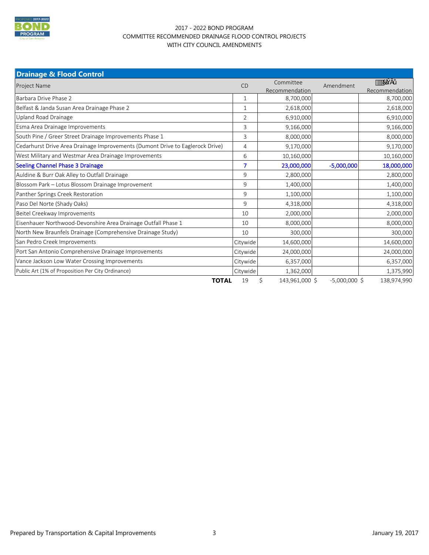

### 2017 - 2022 BOND PROGRAM COMMITTEE RECOMMENDED DRAINAGE FLOOD CONTROL PROJECTS WITH CITY COUNCIL AMENDMENTS

| <b>Drainage &amp; Flood Control</b>                                           |                |                             |                 |                            |
|-------------------------------------------------------------------------------|----------------|-----------------------------|-----------------|----------------------------|
| <b>Project Name</b>                                                           | <b>CD</b>      | Committee<br>Recommendation | Amendment       | $\cdots$<br>Recommendation |
| Barbara Drive Phase 2                                                         | $\mathbf{1}$   | 8,700,000                   |                 | 8,700,000                  |
| Belfast & Janda Susan Area Drainage Phase 2                                   | 1              | 2,618,000                   |                 | 2,618,000                  |
| Upland Road Drainage                                                          | $\overline{2}$ | 6,910,000                   |                 | 6,910,000                  |
| Esma Area Drainage Improvements                                               | 3              | 9,166,000                   |                 | 9,166,000                  |
| South Pine / Greer Street Drainage Improvements Phase 1                       | $\overline{3}$ | 8,000,000                   |                 | 8,000,000                  |
| Cedarhurst Drive Area Drainage Improvements (Dumont Drive to Eaglerock Drive) | $\overline{4}$ | 9,170,000                   |                 | 9,170,000                  |
| West Military and Westmar Area Drainage Improvements                          | 6              | 10,160,000                  |                 | 10,160,000                 |
| <b>Seeling Channel Phase 3 Drainage</b>                                       | 7              | 23,000,000                  | $-5,000,000$    | 18,000,000                 |
| Auldine & Burr Oak Alley to Outfall Drainage                                  | 9              | 2,800,000                   |                 | 2,800,000                  |
| Blossom Park - Lotus Blossom Drainage Improvement                             | 9              | 1,400,000                   |                 | 1,400,000                  |
| Panther Springs Creek Restoration                                             | 9              | 1,100,000                   |                 | 1,100,000                  |
| Paso Del Norte (Shady Oaks)                                                   | 9              | 4,318,000                   |                 | 4,318,000                  |
| Beitel Creekway Improvements                                                  | 10             | 2,000,000                   |                 | 2,000,000                  |
| Eisenhauer Northwood-Devonshire Area Drainage Outfall Phase 1                 | 10             | 8,000,000                   |                 | 8,000,000                  |
| North New Braunfels Drainage (Comprehensive Drainage Study)                   | 10             | 300,000                     |                 | 300,000                    |
| San Pedro Creek Improvements                                                  | Citywide       | 14,600,000                  |                 | 14,600,000                 |
| Port San Antonio Comprehensive Drainage Improvements                          | Citywide       | 24,000,000                  |                 | 24,000,000                 |
| Vance Jackson Low Water Crossing Improvements                                 | Citywide       | 6,357,000                   |                 | 6,357,000                  |
| Public Art (1% of Proposition Per City Ordinance)                             | Citywide       | 1,362,000                   |                 | 1,375,990                  |
| <b>TOTAL</b>                                                                  | 19             | \$<br>143,961,000 \$        | $-5,000,000$ \$ | 138,974,990                |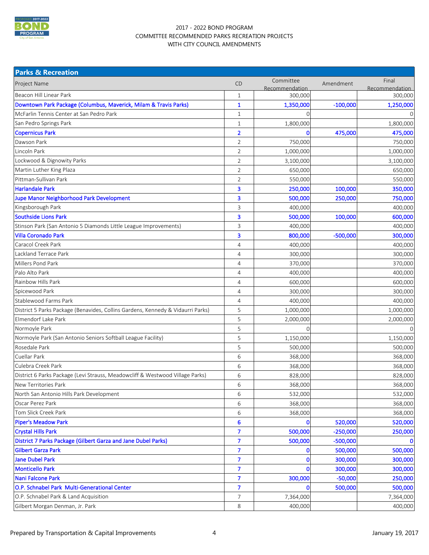

#### 2017 - 2022 BOND PROGRAM COMMITTEE RECOMMENDED PARKS RECREATION PROJECTS WITH CITY COUNCIL AMENDMENTS

| <b>Parks &amp; Recreation</b>                                                   |                         |                             |            |                         |
|---------------------------------------------------------------------------------|-------------------------|-----------------------------|------------|-------------------------|
| <b>Project Name</b>                                                             | <b>CD</b>               | Committee<br>Recommendation | Amendment  | Final<br>Recommendation |
| Beacon Hill Linear Park                                                         | $\mathbf{1}$            | 300,000                     |            | 300,000                 |
| Downtown Park Package (Columbus, Maverick, Milam & Travis Parks)                | 1                       | 1,350,000                   | $-100,000$ | 1,250,000               |
| McFarlin Tennis Center at San Pedro Park                                        | $\mathbf{1}$            |                             |            |                         |
| San Pedro Springs Park                                                          | $\mathbf{1}$            | 1,800,000                   |            | 1,800,000               |
| <b>Copernicus Park</b>                                                          | $\overline{\mathbf{2}}$ | 0                           | 475,000    | 475,000                 |
| Dawson Park                                                                     | $\overline{2}$          | 750,000                     |            | 750,000                 |
| Lincoln Park                                                                    | $\overline{2}$          | 1,000,000                   |            | 1,000,000               |
| Lockwood & Dignowity Parks                                                      | $\overline{2}$          | 3,100,000                   |            | 3,100,000               |
| Martin Luther King Plaza                                                        | $\sqrt{2}$              | 650,000                     |            | 650,000                 |
| Pittman-Sullivan Park                                                           | $\overline{2}$          | 550,000                     |            | 550,000                 |
| <b>Harlandale Park</b>                                                          | 3                       | 250,000                     | 100,000    | 350,000                 |
| <b>Jupe Manor Neighborhood Park Development</b>                                 | 3                       | 500,000                     | 250,000    | 750,000                 |
| Kingsborough Park                                                               | 3                       | 400,000                     |            | 400,000                 |
| <b>Southside Lions Park</b>                                                     | 3                       | 500,000                     | 100,000    | 600,000                 |
| Stinson Park (San Antonio 5 Diamonds Little League Improvements)                | 3                       | 400,000                     |            | 400,000                 |
| <b>Villa Coronado Park</b>                                                      | 3                       | 800,000                     | $-500,000$ | 300,000                 |
| Caracol Creek Park                                                              | $\overline{4}$          | 400,000                     |            | 400,000                 |
| Lackland Terrace Park                                                           | $\overline{4}$          | 300,000                     |            | 300,000                 |
| Millers Pond Park                                                               | $\overline{4}$          | 370,000                     |            | 370,000                 |
| Palo Alto Park                                                                  | $\overline{4}$          | 400,000                     |            | 400,000                 |
| Rainbow Hills Park                                                              | $\overline{4}$          | 600,000                     |            | 600,000                 |
| Spicewood Park                                                                  | $\overline{4}$          | 300,000                     |            | 300,000                 |
| Stablewood Farms Park                                                           | $\overline{4}$          | 400,000                     |            | 400,000                 |
| District 5 Parks Package (Benavides, Collins Gardens, Kennedy & Vidaurri Parks) | 5                       | 1,000,000                   |            | 1,000,000               |
| Elmendorf Lake Park                                                             | 5                       | 2,000,000                   |            | 2,000,000               |
| Normoyle Park                                                                   | 5                       | $\mathcal{O}$               |            |                         |
| Normoyle Park (San Antonio Seniors Softball League Facility)                    | 5                       | 1,150,000                   |            | 1,150,000               |
| Rosedale Park                                                                   | 5                       | 500,000                     |            | 500,000                 |
| <b>Cuellar Park</b>                                                             | 6                       | 368,000                     |            | 368,000                 |
| Culebra Creek Park                                                              | 6                       | 368,000                     |            | 368,000                 |
| District 6 Parks Package (Levi Strauss, Meadowcliff & Westwood Village Parks)   | 6                       | 828,000                     |            | 828,000                 |
| New Territories Park                                                            | 6                       | 368,000                     |            | 368,000                 |
| North San Antonio Hills Park Development                                        | 6                       | 532,000                     |            | 532,000                 |
| Oscar Perez Park                                                                | 6                       | 368,000                     |            | 368,000                 |
| Tom Slick Creek Park                                                            | 6                       | 368,000                     |            | 368,000                 |
| <b>Piper's Meadow Park</b>                                                      | $\boldsymbol{6}$        |                             | 520,000    | 520,000                 |
| <b>Crystal Hills Park</b>                                                       | $\overline{7}$          | 500,000                     | $-250,000$ | 250,000                 |
| District 7 Parks Package (Gilbert Garza and Jane Dubel Parks)                   | $\overline{7}$          | 500,000                     | $-500,000$ | $\Omega$                |
| <b>Gilbert Garza Park</b>                                                       | $\overline{7}$          | 0                           | 500,000    | 500,000                 |
| <b>Jane Dubel Park</b>                                                          | $\overline{7}$          | 0                           | 300,000    | 300,000                 |
| <b>Monticello Park</b>                                                          | $\overline{7}$          | $\mathbf 0$                 | 300,000    | 300,000                 |
| Nani Falcone Park                                                               | $\overline{7}$          | 300,000                     | $-50,000$  | 250,000                 |
| O.P. Schnabel Park Multi-Generational Center                                    | $\overline{7}$          | n                           | 500,000    | 500,000                 |
| O.P. Schnabel Park & Land Acquisition                                           | $\overline{7}$          | 7,364,000                   |            | 7,364,000               |
| Gilbert Morgan Denman, Jr. Park                                                 | 8                       | 400,000                     |            | 400,000                 |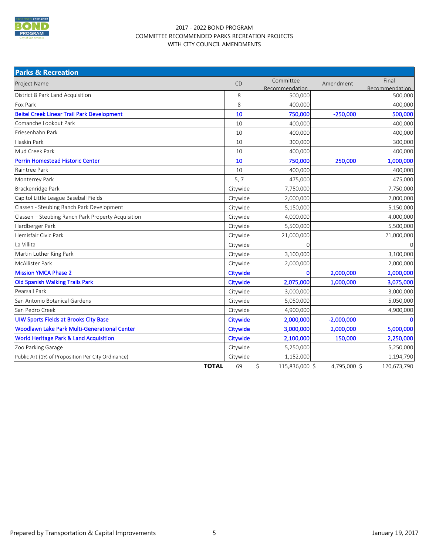

#### 2017 - 2022 BOND PROGRAM COMMITTEE RECOMMENDED PARKS RECREATION PROJECTS WITH CITY COUNCIL AMENDMENTS

| <b>Parks &amp; Recreation</b>                       |          |                             |              |                         |
|-----------------------------------------------------|----------|-----------------------------|--------------|-------------------------|
| <b>Project Name</b>                                 | CD       | Committee<br>Recommendation | Amendment    | Final<br>Recommendation |
| District 8 Park Land Acquisition                    | 8        | 500,000                     |              | 500,000                 |
| Fox Park                                            | 8        | 400,000                     |              | 400,000                 |
| <b>Beitel Creek Linear Trail Park Development</b>   | 10       | 750,000                     | $-250,000$   | 500,000                 |
| Comanche Lookout Park                               | 10       | 400,000                     |              | 400,000                 |
| Friesenhahn Park                                    | 10       | 400,000                     |              | 400,000                 |
| Haskin Park                                         | 10       | 300,000                     |              | 300,000                 |
| Mud Creek Park                                      | 10       | 400,000                     |              | 400,000                 |
| <b>Perrin Homestead Historic Center</b>             | 10       | 750,000                     | 250,000      | 1,000,000               |
| Raintree Park                                       | 10       | 400,000                     |              | 400,000                 |
| Monterrey Park                                      | 5, 7     | 475,000                     |              | 475,000                 |
| Brackenridge Park                                   | Citywide | 7,750,000                   |              | 7,750,000               |
| Capitol Little League Baseball Fields               | Citywide | 2,000,000                   |              | 2,000,000               |
| Classen - Steubing Ranch Park Development           | Citywide | 5,150,000                   |              | 5,150,000               |
| Classen - Steubing Ranch Park Property Acquisition  | Citywide | 4,000,000                   |              | 4,000,000               |
| Hardberger Park                                     | Citywide | 5,500,000                   |              | 5,500,000               |
| Hemisfair Civic Park                                | Citywide | 21,000,000                  |              | 21,000,000              |
| La Villita                                          | Citywide | 0                           |              | $\mathsf{O}\xspace$     |
| Martin Luther King Park                             | Citywide | 3,100,000                   |              | 3,100,000               |
| <b>McAllister Park</b>                              | Citywide | 2,000,000                   |              | 2,000,000               |
| <b>Mission YMCA Phase 2</b>                         | Citywide | 0                           | 2,000,000    | 2,000,000               |
| <b>Old Spanish Walking Trails Park</b>              | Citywide | 2,075,000                   | 1,000,000    | 3,075,000               |
| Pearsall Park                                       | Citywide | 3,000,000                   |              | 3,000,000               |
| San Antonio Botanical Gardens                       | Citywide | 5,050,000                   |              | 5,050,000               |
| San Pedro Creek                                     | Citywide | 4,900,000                   |              | 4,900,000               |
| <b>UIW Sports Fields at Brooks City Base</b>        | Citywide | 2,000,000                   | $-2,000,000$ | $\mathbf 0$             |
| <b>Woodlawn Lake Park Multi-Generational Center</b> | Citywide | 3,000,000                   | 2,000,000    | 5,000,000               |
| World Heritage Park & Land Acquisition              | Citywide | 2,100,000                   | 150,000      | 2,250,000               |
| Zoo Parking Garage                                  | Citywide | 5,250,000                   |              | 5,250,000               |
| Public Art (1% of Proposition Per City Ordinance)   | Citywide | 1,152,000                   |              | 1,194,790               |
| <b>TOTAL</b>                                        | 69       | \$<br>115,836,000 \$        | 4,795,000 \$ | 120,673,790             |